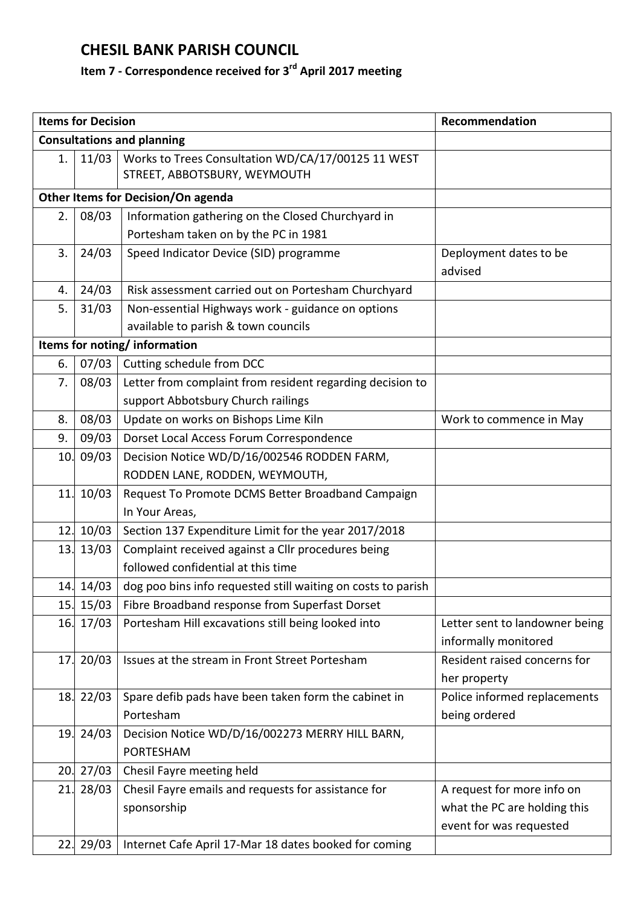## **CHESIL BANK PARISH COUNCIL**

## **Item 7 - Correspondence received for 3 rd April 2017 meeting**

|                              | <b>Items for Decision</b> |                                                                                    | Recommendation                 |  |  |
|------------------------------|---------------------------|------------------------------------------------------------------------------------|--------------------------------|--|--|
|                              |                           | <b>Consultations and planning</b>                                                  |                                |  |  |
| 1.                           | 11/03                     | Works to Trees Consultation WD/CA/17/00125 11 WEST<br>STREET, ABBOTSBURY, WEYMOUTH |                                |  |  |
|                              |                           | Other Items for Decision/On agenda                                                 |                                |  |  |
| 2.                           | 08/03                     | Information gathering on the Closed Churchyard in                                  |                                |  |  |
|                              |                           | Portesham taken on by the PC in 1981                                               |                                |  |  |
| 3.                           | 24/03                     | Speed Indicator Device (SID) programme                                             | Deployment dates to be         |  |  |
|                              |                           |                                                                                    | advised                        |  |  |
| 4.                           | 24/03                     | Risk assessment carried out on Portesham Churchyard                                |                                |  |  |
| 5.                           | 31/03                     | Non-essential Highways work - guidance on options                                  |                                |  |  |
|                              |                           | available to parish & town councils                                                |                                |  |  |
| Items for noting/information |                           |                                                                                    |                                |  |  |
| 6.                           | 07/03                     | Cutting schedule from DCC                                                          |                                |  |  |
| 7.                           | 08/03                     | Letter from complaint from resident regarding decision to                          |                                |  |  |
|                              |                           | support Abbotsbury Church railings                                                 |                                |  |  |
| 8.                           | 08/03                     | Update on works on Bishops Lime Kiln                                               | Work to commence in May        |  |  |
| 9.                           | 09/03                     | Dorset Local Access Forum Correspondence                                           |                                |  |  |
| 10.                          | 09/03                     | Decision Notice WD/D/16/002546 RODDEN FARM,                                        |                                |  |  |
|                              |                           | RODDEN LANE, RODDEN, WEYMOUTH,                                                     |                                |  |  |
| 11.                          | 10/03                     | Request To Promote DCMS Better Broadband Campaign                                  |                                |  |  |
|                              |                           | In Your Areas,                                                                     |                                |  |  |
| 12.                          | 10/03                     | Section 137 Expenditure Limit for the year 2017/2018                               |                                |  |  |
| 13.                          | 13/03                     | Complaint received against a Cllr procedures being                                 |                                |  |  |
|                              |                           | followed confidential at this time                                                 |                                |  |  |
|                              | 14. 14/03                 | dog poo bins info requested still waiting on costs to parish                       |                                |  |  |
| 15.                          | 15/03                     | Fibre Broadband response from Superfast Dorset                                     |                                |  |  |
| 16.                          | 17/03                     | Portesham Hill excavations still being looked into                                 | Letter sent to landowner being |  |  |
|                              |                           |                                                                                    | informally monitored           |  |  |
| 17.                          | 20/03                     | Issues at the stream in Front Street Portesham                                     | Resident raised concerns for   |  |  |
|                              |                           |                                                                                    | her property                   |  |  |
| 18.                          | 22/03                     | Spare defib pads have been taken form the cabinet in                               | Police informed replacements   |  |  |
|                              |                           | Portesham                                                                          | being ordered                  |  |  |
| 19.                          | 24/03                     | Decision Notice WD/D/16/002273 MERRY HILL BARN,                                    |                                |  |  |
|                              |                           | <b>PORTESHAM</b>                                                                   |                                |  |  |
| 20.                          | 27/03                     | Chesil Fayre meeting held                                                          |                                |  |  |
| 21.                          | 28/03                     | Chesil Fayre emails and requests for assistance for                                | A request for more info on     |  |  |
|                              |                           | sponsorship                                                                        | what the PC are holding this   |  |  |
|                              |                           |                                                                                    | event for was requested        |  |  |
| 22.                          | 29/03                     | Internet Cafe April 17-Mar 18 dates booked for coming                              |                                |  |  |